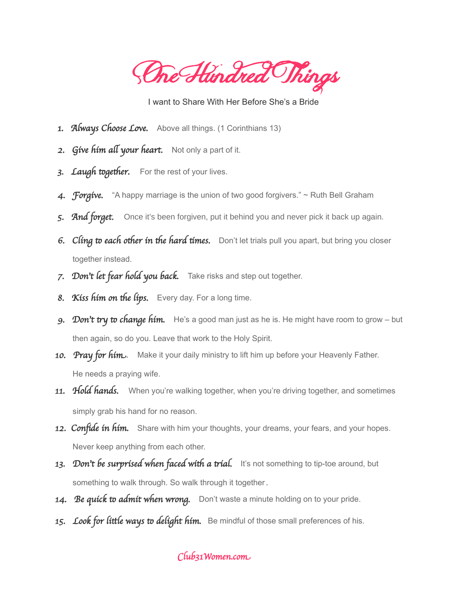**One Hundred Things** 

I want to Share With Her Before She's a Bride

- 1. Always Choose Love. Above all things. (1 Corinthians 13)
- 2. Give him all your heart. Not only a part of it.
- 3. Laugh together. For the rest of your lives.
- 4. Forgive. "A happy marriage is the union of two good forgivers."  $\sim$  Ruth Bell Graham
- 5. And forget. Once it's been forgiven, put it behind you and never pick it back up again.
- 6. Cling to each other in the hard times. Don't let trials pull you apart, but bring you closer together instead.
- 7. Don't let fear hold you back. Take risks and step out together.
- 8. Kiss him on the lips. Every day. For a long time.
- 9. Don't try to change him. He's a good man just as he is. He might have room to grow but then again, so do you. Leave that work to the Holy Spirit.
- 10. Pray for him. Make it your daily ministry to lift him up before your Heavenly Father. He needs a praying wife.
- 11. Hold hands. When you're walking together, when you're driving together, and sometimes simply grab his hand for no reason.
- 12. Confide in him. Share with him your thoughts, your dreams, your fears, and your hopes. Never keep anything from each other.
- 13. Don't be surprised when faced with a trial. It's not something to tip-toe around, but something to walk through. So walk through it together.
- 14. Be quick to admit when wrong. Don't waste a minute holding on to your pride.
- 15. Look for little ways to delight him. Be mindful of those small preferences of his.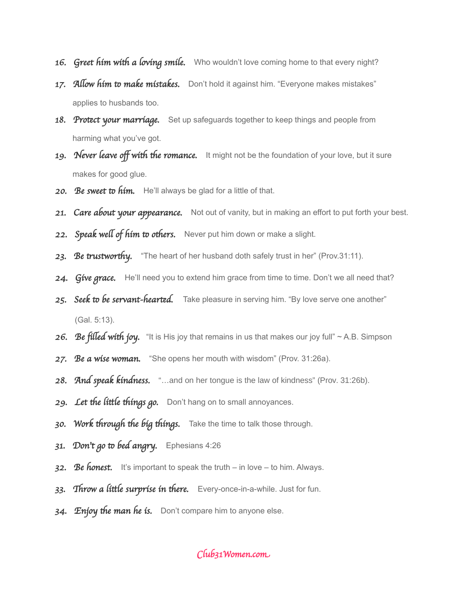- 16. Greet him with a loving smile. Who wouldn't love coming home to that every night?
- 17. Allow him to make mistakes. Don't hold it against him. "Everyone makes mistakes" applies to husbands too.
- 18. Protect your marriage. Set up safeguards together to keep things and people from harming what you've got.
- 19. Never leave off with the romance. It might not be the foundation of your love, but it sure makes for good glue.
- 20. Be sweet to him. He'll always be glad for a little of that.
- 21. Care about your appearance. Not out of vanity, but in making an effort to put forth your best.
- 22. Speak well of him to others. Never put him down or make a slight.
- 23. Be trustworthy. "The heart of her husband doth safely trust in her" (Prov.31:11).
- 24. Give grace. He'll need you to extend him grace from time to time. Don't we all need that?
- 25. Seek to be servant-hearted. Take pleasure in serving him. "By love serve one another" (Gal. 5:13).
- 26. Be filled with joy. "It is His joy that remains in us that makes our joy full" ~ A.B. Simpson
- 27. Be a wise woman. "She opens her mouth with wisdom" (Prov. 31:26a).
- 28. And speak kindness. "...and on her tongue is the law of kindness" (Prov. 31:26b).
- 29. Let the little things go. Don't hang on to small annoyances.
- 30. Work through the big things. Take the time to talk those through.
- 31. Don't go to bed angry. Ephesians  $4:26$
- 32. Be honest. It's important to speak the truth in love to him. Always.
- 33. Throw a little surprise in there. Every-once-in-a-while. Just for fun.
- 34. Enjoy the man he is. Don't compare him to anyone else.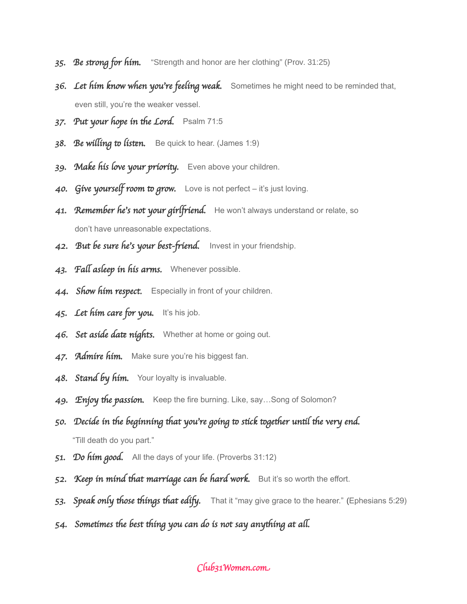- 35. Be strong for him. "Strength and honor are her clothing" (Prov. 31:25)
- 36. Let him know when you're feeling weak. Sometimes he might need to be reminded that, even still, you're the weaker vessel.
- 37. Put your hope in the Lord. Psalm 71:5
- 38. Be willing to listen. Be quick to hear. (James 1:9)
- 39. Make his love your priority. Even above your children.
- 40. Give yourself room to grow. Love is not perfect it's just loving.
- 41. Remember he's not your girlfriend. He won't always understand or relate, so don't have unreasonable expectations.
- 42. But be sure he's your best-friend. Invest in your friendship.
- 43. Fall asleep in his arms. Whenever possible.
- 44. Show him respect. Especially in front of your children.
- 45. Let him care for you. It's his job.
- 46. Set asíde date níghts. Whether at home or going out.
- 47. Admire him. Make sure you're his biggest fan.
- 48. Stand by him. Your loyalty is invaluable.
- 49. Enjoy the passion. Keep the fire burning. Like, say...Song of Solomon?
- 50. Decide in the beginning that you're going to stick together until the very end. "Till death do you part."
- 51. Do him good. All the days of your life. (Proverbs 31:12)
- 52. Keep in mind that marriage can be hard work. But it's so worth the effort.
- 53. Speak only those things that edify. That it "may give grace to the hearer." (Ephesians 5:29)
- 54. Sometimes the best thing you can do is not say anything at all.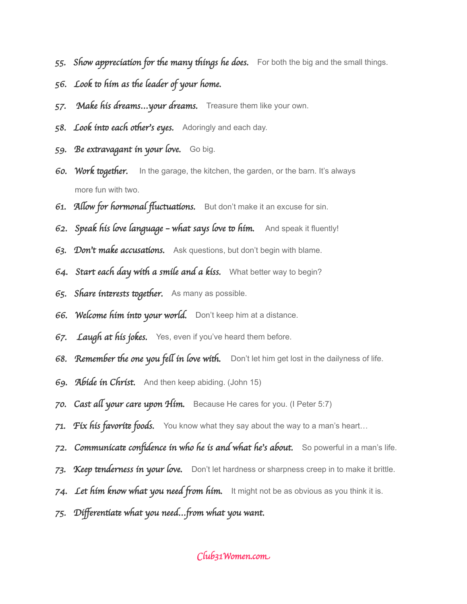- 55. Show appreciation for the many things he does. For both the big and the small things.
- 56. Look to him as the leader of your home.
- 57. Make his dreams... your dreams. Treasure them like your own.
- 58. Look into each other's eyes. Adoringly and each day.
- 59. Be extravagant in your love. Go big.
- 60. Work together. In the garage, the kitchen, the garden, or the barn. It's always more fun with two.
- 61. Allow for hormonal fluctuations. But don't make it an excuse for sin.
- 62. Speak his love language what says love to him. And speak it fluently!
- 63. Don't make accusations. Ask questions, but don't begin with blame.
- 64. Start each day with a smile and a kiss. What better way to begin?
- 65. Share interests together. As many as possible.
- 66. Welcome him into your world. Don't keep him at a distance.
- 67. Laugh at his jokes. Yes, even if you've heard them before.
- 68. Remember the one you fell in love with. Don't let him get lost in the dailyness of life.
- 69. Abide in Christ. And then keep abiding. (John 15)
- 70. Cast all your care upon Him. Because He cares for you. (I Peter 5:7)
- 71. Fix his favorite foods. You know what they say about the way to a man's heart...
- 72. Communicate confidence in who he is and what he's about. So powerful in a man's life.
- 73. Keep tenderness in your love. Don't let hardness or sharpness creep in to make it brittle.
- 74. Let him know what you need from him. It might not be as obvious as you think it is.
- 75. Differentiate what you need...from what you want.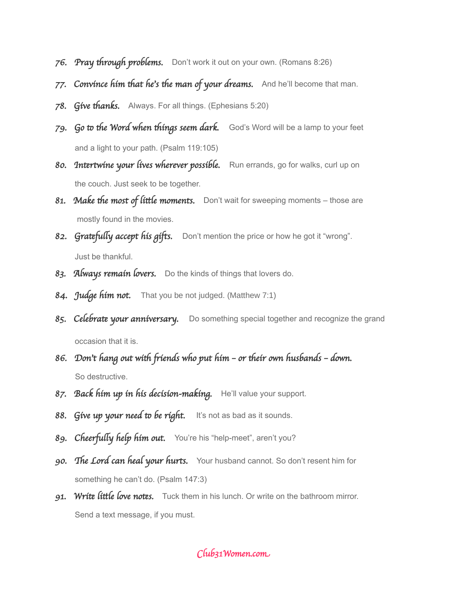- 76. Pray through problems. Don't work it out on your own. (Romans 8:26)
- 77. Convince him that he's the man of your dreams. And he'll become that man.
- 78. Give thanks. Always. For all things. (Ephesians 5:20)
- 79. Go to the Word when things seem dark. God's Word will be a lamp to your feet and a light to your path. (Psalm 119:105)
- 80. Intertwine your lives wherever possible. Run errands, go for walks, curl up on the couch. Just seek to be together.
- 81. Make the most of little moments. Don't wait for sweeping moments those are mostly found in the movies.
- 82. Gratefully accept his gifts. Don't mention the price or how he got it "wrong". Just be thankful.
- 83. Always remain lovers. Do the kinds of things that lovers do.
- 84. Judge him not. That you be not judged. (Matthew 7:1)
- 85. Celebrate your anniversary. Do something special together and recognize the grand occasion that it is.
- 86. Don't hang out with friends who put him or their own husbands down. So destructive.
- 87. Back him up in his decision-making. He'll value your support.
- 88. Give up your need to be right. It's not as bad as it sounds.
- 89. Cheerfully help him out. You're his "help-meet", aren't you?
- 90. The Lord can heal your hurts. Your husband cannot. So don't resent him for something he can't do. (Psalm 147:3)
- 91. Write little love notes. Tuck them in his lunch. Or write on the bathroom mirror. Send a text message, if you must.